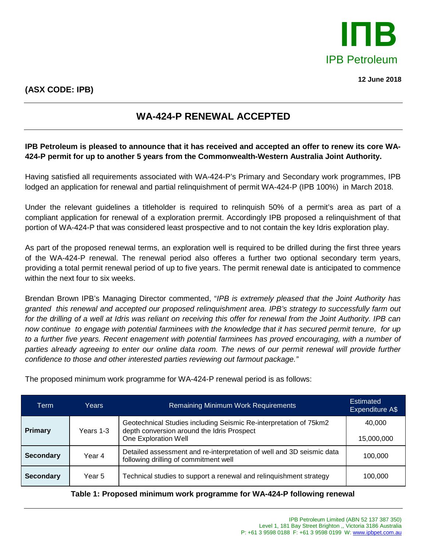

**12 June 2018**

## **WA-424-P RENEWAL ACCEPTED**

## **IPB Petroleum is pleased to announce that it has received and accepted an offer to renew its core WA-424-P permit for up to another 5 years from the Commonwealth-Western Australia Joint Authority.**

Having satisfied all requirements associated with WA-424-P's Primary and Secondary work programmes, IPB lodged an application for renewal and partial relinquishment of permit WA-424-P (IPB 100%) in March 2018.

Under the relevant guidelines a titleholder is required to relinquish 50% of a permit's area as part of a compliant application for renewal of a exploration prermit. Accordingly IPB proposed a relinquishment of that portion of WA-424-P that was considered least prospective and to not contain the key Idris exploration play.

As part of the proposed renewal terms, an exploration well is required to be drilled during the first three years of the WA-424-P renewal. The renewal period also offeres a further two optional secondary term years, providing a total permit renewal period of up to five years. The permit renewal date is anticipated to commence within the next four to six weeks.

Brendan Brown IPB's Managing Director commented, "*IPB is extremely pleased that the Joint Authority has granted this renewal and accepted our proposed relinquishment area. IPB's strategy to successfully farm out for the drilling of a well at Idris was reliant on receiving this offer for renewal from the Joint Authority. IPB can now continue to engage with potential farminees with the knowledge that it has secured permit tenure, for up to a further five years. Recent enagement with potential farminees has proved encouraging, with a number of parties already agreeing to enter our online data room. The news of our permit renewal will provide further confidence to those and other interested parties reviewing out farmout package."*

| Term             | Years     | <b>Remaining Minimum Work Requirements</b>                                                                                              | Estimated<br>Expenditure A\$ |
|------------------|-----------|-----------------------------------------------------------------------------------------------------------------------------------------|------------------------------|
| <b>Primary</b>   | Years 1-3 | Geotechnical Studies including Seismic Re-interpretation of 75km2<br>depth conversion around the Idris Prospect<br>One Exploration Well | 40.000<br>15,000,000         |
| <b>Secondary</b> | Year 4    | Detailed assessment and re-interpretation of well and 3D seismic data<br>following drilling of commitment well                          | 100,000                      |
| <b>Secondary</b> | Year 5    | Technical studies to support a renewal and relinquishment strategy                                                                      | 100,000                      |

The proposed minimum work programme for WA-424-P renewal period is as follows:

## **Table 1: Proposed minimum work programme for WA-424-P following renewal**